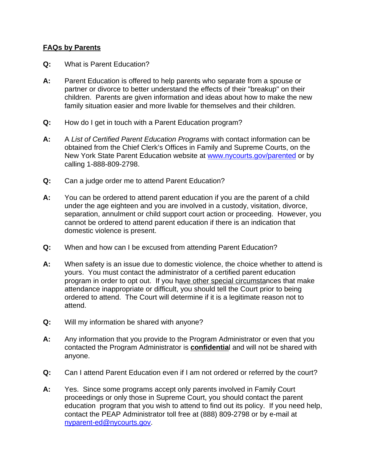## **FAQs by Parents**

- **Q:** What is Parent Education?
- **A:** Parent Education is offered to help parents who separate from a spouse or partner or divorce to better understand the effects of their "breakup" on their children. Parents are given information and ideas about how to make the new family situation easier and more livable for themselves and their children.
- **Q:** How do I get in touch with a Parent Education program?
- **A:** A *List of Certified Parent Education Programs* with contact information can be obtained from the Chief Clerk's Offices in Family and Supreme Courts, on the New York State Parent Education website at www.nycourts.gov/parented or by calling 1-888-809-2798.
- **Q:** Can a judge order me to attend Parent Education?
- **A:** You can be ordered to attend parent education if you are the parent of a child under the age eighteen and you are involved in a custody, visitation, divorce, separation, annulment or child support court action or proceeding. However, you cannot be ordered to attend parent education if there is an indication that domestic violence is present.
- **Q:** When and how can I be excused from attending Parent Education?
- **A:** When safety is an issue due to domestic violence, the choice whether to attend is yours. You must contact the administrator of a certified parent education program in order to opt out. If you have other special circumstances that make attendance inappropriate or difficult, you should tell the Court prior to being ordered to attend. The Court will determine if it is a legitimate reason not to attend.
- **Q:** Will my information be shared with anyone?
- **A:** Any information that you provide to the Program Administrator or even that you contacted the Program Administrator is **confidentia**l and will not be shared with anyone.
- **Q:** Can I attend Parent Education even if I am not ordered or referred by the court?
- **A:** Yes. Since some programs accept only parents involved in Family Court proceedings or only those in Supreme Court, you should contact the parent education program that you wish to attend to find out its policy. If you need help, contact the PEAP Administrator toll free at (888) 809-2798 or by e-mail at nyparent-ed@nycourts.gov.